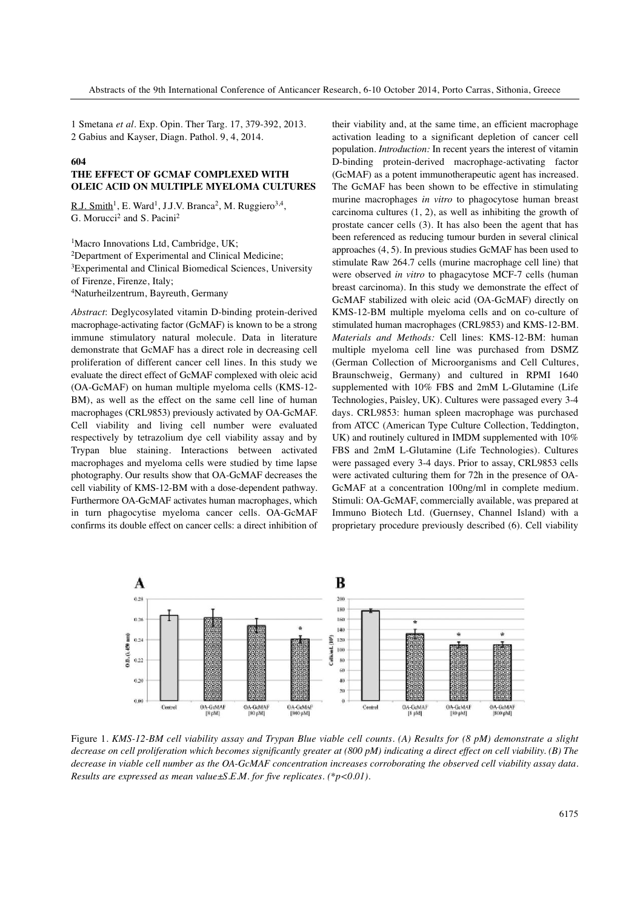1 Smetana *et al*. Exp. Opin. Ther Targ. 17, 379-392, 2013. 2 Gabius and Kayser, Diagn. Pathol. 9, 4, 2014.

#### **604**

### **THE EFFECT OF GCMAF COMPLEXED WITH OLEIC ACID ON MULTIPLE MYELOMA CULTURES**

R.J. Smith<sup>1</sup>, E. Ward<sup>1</sup>, J.J.V. Branca<sup>2</sup>, M. Ruggiero<sup>3,4</sup>, G. Morucci<sup>2</sup> and S. Pacini<sup>2</sup>

<sup>1</sup>Macro Innovations Ltd, Cambridge, UK; 2Department of Experimental and Clinical Medicine; 3Experimental and Clinical Biomedical Sciences, University of Firenze, Firenze, Italy; 4Naturheilzentrum, Bayreuth, Germany

*Abstract*: Deglycosylated vitamin D-binding protein-derived macrophage-activating factor (GcMAF) is known to be a strong immune stimulatory natural molecule. Data in literature demonstrate that GcMAF has a direct role in decreasing cell proliferation of different cancer cell lines. In this study we evaluate the direct effect of GcMAF complexed with oleic acid (OA-GcMAF) on human multiple myeloma cells (KMS-12- BM), as well as the effect on the same cell line of human macrophages (CRL9853) previously activated by OA-GcMAF. Cell viability and living cell number were evaluated respectively by tetrazolium dye cell viability assay and by Trypan blue staining. Interactions between activated macrophages and myeloma cells were studied by time lapse photography. Our results show that OA-GcMAF decreases the cell viability of KMS-12-BM with a dose-dependent pathway. Furthermore OA-GcMAF activates human macrophages, which in turn phagocytise myeloma cancer cells. OA-GcMAF confirms its double effect on cancer cells: a direct inhibition of their viability and, at the same time, an efficient macrophage activation leading to a significant depletion of cancer cell population. *Introduction:* In recent years the interest of vitamin D-binding protein-derived macrophage-activating factor (GcMAF) as a potent immunotherapeutic agent has increased. The GcMAF has been shown to be effective in stimulating murine macrophages *in vitro* to phagocytose human breast carcinoma cultures (1, 2), as well as inhibiting the growth of prostate cancer cells (3). It has also been the agent that has been referenced as reducing tumour burden in several clinical approaches (4, 5). In previous studies GcMAF has been used to stimulate Raw 264.7 cells (murine macrophage cell line) that were observed *in vitro* to phagacytose MCF-7 cells (human breast carcinoma). In this study we demonstrate the effect of GcMAF stabilized with oleic acid (OA-GcMAF) directly on KMS-12-BM multiple myeloma cells and on co-culture of stimulated human macrophages (CRL9853) and KMS-12-BM. *Materials and Methods:* Cell lines: KMS-12-BM: human multiple myeloma cell line was purchased from DSMZ (German Collection of Microorganisms and Cell Cultures, Braunschweig, Germany) and cultured in RPMI 1640 supplemented with 10% FBS and 2mM L-Glutamine (Life Technologies, Paisley, UK). Cultures were passaged every 3-4 days. CRL9853: human spleen macrophage was purchased from ATCC (American Type Culture Collection, Teddington, UK) and routinely cultured in IMDM supplemented with 10% FBS and 2mM L-Glutamine (Life Technologies). Cultures were passaged every 3-4 days. Prior to assay, CRL9853 cells were activated culturing them for 72h in the presence of OA-GcMAF at a concentration 100ng/ml in complete medium. Stimuli: OA-GcMAF, commercially available, was prepared at Immuno Biotech Ltd. (Guernsey, Channel Island) with a proprietary procedure previously described (6). Cell viability



Figure 1. KMS-12-BM cell viability assay and Trypan Blue viable cell counts. (A) Results for (8 pM) demonstrate a slight decrease on cell proliferation which becomes significantly greater at  $(800 \text{ pM})$  indicating a direct effect on cell viability. (B) The decrease in viable cell number as the OA-GcMAF concentration increases corroborating the observed cell viability assay data. *Results are expressed as mean value±S.E.M. for five replicates. (\*p<0.01).*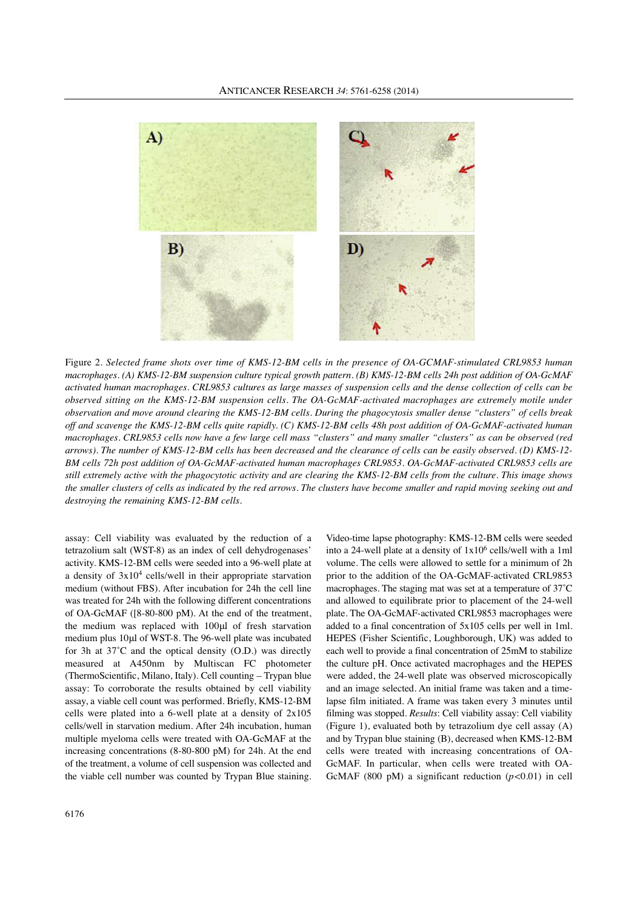

Figure 2. *Selected frame shots over time of KMS-12-BM cells in the presence of OA-GCMAF-stimulated CRL9853 human* macrophages. (A) KMS-12-BM suspension culture typical growth pattern. (B) KMS-12-BM cells 24h post addition of OA-GcMAF activated human macrophages. CRL9853 cultures as large masses of suspension cells and the dense collection of cells can be *observed sitting on the KMS-12-BM suspension cells. The OA-GcMAF-activated macrophages are extremely motile under* observation and move around clearing the KMS-12-BM cells. During the phagocytosis smaller dense "clusters" of cells break off and scavenge the KMS-12-BM cells quite rapidly. (C) KMS-12-BM cells 48h post addition of OA-GcMAF-activated human macrophages. CRL9853 cells now have a few large cell mass "clusters" and many smaller "clusters" as can be observed (red arrows). The number of KMS-12-BM cells has been decreased and the clearance of cells can be easily observed. (D) KMS-12-*BM cells 72h post addition of OA-GcMAF-activated human macrophages CRL9853. OA-GcMAF-activated CRL9853 cells are* still extremely active with the phagocytotic activity and are clearing the KMS-12-BM cells from the culture. This image shows the smaller clusters of cells as indicated by the red arrows. The clusters have become smaller and rapid moving seeking out and *destroying the remaining KMS-12-BM cells.*

assay: Cell viability was evaluated by the reduction of a tetrazolium salt (WST-8) as an index of cell dehydrogenases' activity. KMS-12-BM cells were seeded into a 96-well plate at a density of  $3x10<sup>4</sup>$  cells/well in their appropriate starvation medium (without FBS). After incubation for 24h the cell line was treated for 24h with the following different concentrations of OA-GcMAF ([8-80-800 pM). At the end of the treatment, the medium was replaced with 100μl of fresh starvation medium plus 10μl of WST-8. The 96-well plate was incubated for 3h at 37˚C and the optical density (O.D.) was directly measured at A450nm by Multiscan FC photometer (ThermoScientific, Milano, Italy). Cell counting – Trypan blue assay: To corroborate the results obtained by cell viability assay, a viable cell count was performed. Briefly, KMS-12-BM cells were plated into a 6-well plate at a density of 2x105 cells/well in starvation medium. After 24h incubation, human multiple myeloma cells were treated with OA-GcMAF at the increasing concentrations (8-80-800 pM) for 24h. At the end of the treatment, a volume of cell suspension was collected and the viable cell number was counted by Trypan Blue staining.

into a 24-well plate at a density of  $1x10<sup>6</sup>$  cells/well with a 1ml volume. The cells were allowed to settle for a minimum of 2h prior to the addition of the OA-GcMAF-activated CRL9853 macrophages. The staging mat was set at a temperature of 37˚C and allowed to equilibrate prior to placement of the 24-well plate. The OA-GcMAF-activated CRL9853 macrophages were added to a final concentration of 5x105 cells per well in 1ml. HEPES (Fisher Scientific, Loughborough, UK) was added to each well to provide a final concentration of 25mM to stabilize the culture pH. Once activated macrophages and the HEPES were added, the 24-well plate was observed microscopically and an image selected. An initial frame was taken and a timelapse film initiated. A frame was taken every 3 minutes until filming was stopped. *Results*: Cell viability assay: Cell viability (Figure 1), evaluated both by tetrazolium dye cell assay (A) and by Trypan blue staining (B), decreased when KMS-12-BM cells were treated with increasing concentrations of OA-GcMAF. In particular, when cells were treated with OA-GcMAF (800 pM) a significant reduction (*p<*0.01) in cell

Video-time lapse photography: KMS-12-BM cells were seeded